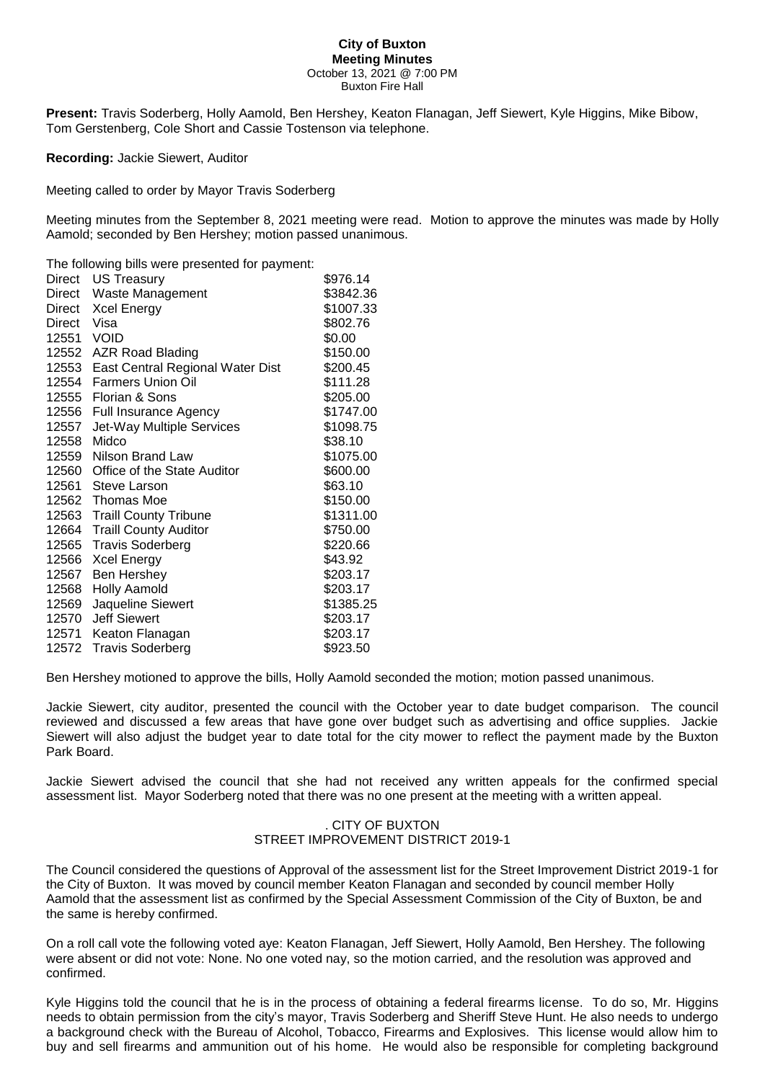#### **City of Buxton Meeting Minutes** October 13, 2021 @ 7:00 PM Buxton Fire Hall

**Present:** Travis Soderberg, Holly Aamold, Ben Hershey, Keaton Flanagan, Jeff Siewert, Kyle Higgins, Mike Bibow, Tom Gerstenberg, Cole Short and Cassie Tostenson via telephone.

**Recording:** Jackie Siewert, Auditor

Meeting called to order by Mayor Travis Soderberg

Meeting minutes from the September 8, 2021 meeting were read. Motion to approve the minutes was made by Holly Aamold; seconded by Ben Hershey; motion passed unanimous.

The following bills were presented for payment:

| Direct | <b>US Treasury</b>               | \$976.14  |
|--------|----------------------------------|-----------|
| Direct | Waste Management                 | \$3842.36 |
| Direct | <b>Xcel Energy</b>               | \$1007.33 |
| Direct | Visa                             | \$802.76  |
| 12551  | <b>VOID</b>                      | \$0.00    |
| 12552  | <b>AZR Road Blading</b>          | \$150.00  |
| 12553  | East Central Regional Water Dist | \$200.45  |
| 12554  | <b>Farmers Union Oil</b>         | \$111.28  |
| 12555  | Florian & Sons                   | \$205.00  |
| 12556  | <b>Full Insurance Agency</b>     | \$1747.00 |
| 12557  | Jet-Way Multiple Services        | \$1098.75 |
| 12558  | Midco                            | \$38.10   |
| 12559  | Nilson Brand Law                 | \$1075.00 |
| 12560  | Office of the State Auditor      | \$600.00  |
| 12561  | Steve Larson                     | \$63.10   |
|        | 12562 Thomas Moe                 | \$150.00  |
|        | 12563 Traill County Tribune      | \$1311.00 |
| 12664  | <b>Traill County Auditor</b>     | \$750.00  |
| 12565  | <b>Travis Soderberg</b>          | \$220.66  |
| 12566  | <b>Xcel Energy</b>               | \$43.92   |
| 12567  | Ben Hershey                      | \$203.17  |
| 12568  | <b>Holly Aamold</b>              | \$203.17  |
| 12569  | Jaqueline Siewert                | \$1385.25 |
| 12570  | <b>Jeff Siewert</b>              | \$203.17  |
| 12571  | Keaton Flanagan                  | \$203.17  |
| 12572  | <b>Travis Soderberg</b>          | \$923.50  |

Ben Hershey motioned to approve the bills, Holly Aamold seconded the motion; motion passed unanimous.

Jackie Siewert, city auditor, presented the council with the October year to date budget comparison. The council reviewed and discussed a few areas that have gone over budget such as advertising and office supplies. Jackie Siewert will also adjust the budget year to date total for the city mower to reflect the payment made by the Buxton Park Board.

Jackie Siewert advised the council that she had not received any written appeals for the confirmed special assessment list. Mayor Soderberg noted that there was no one present at the meeting with a written appeal.

# . CITY OF BUXTON STREET IMPROVEMENT DISTRICT 2019-1

The Council considered the questions of Approval of the assessment list for the Street Improvement District 2019-1 for the City of Buxton. It was moved by council member Keaton Flanagan and seconded by council member Holly Aamold that the assessment list as confirmed by the Special Assessment Commission of the City of Buxton, be and the same is hereby confirmed.

On a roll call vote the following voted aye: Keaton Flanagan, Jeff Siewert, Holly Aamold, Ben Hershey. The following were absent or did not vote: None. No one voted nay, so the motion carried, and the resolution was approved and confirmed.

Kyle Higgins told the council that he is in the process of obtaining a federal firearms license. To do so, Mr. Higgins needs to obtain permission from the city's mayor, Travis Soderberg and Sheriff Steve Hunt. He also needs to undergo a background check with the Bureau of Alcohol, Tobacco, Firearms and Explosives. This license would allow him to buy and sell firearms and ammunition out of his home. He would also be responsible for completing background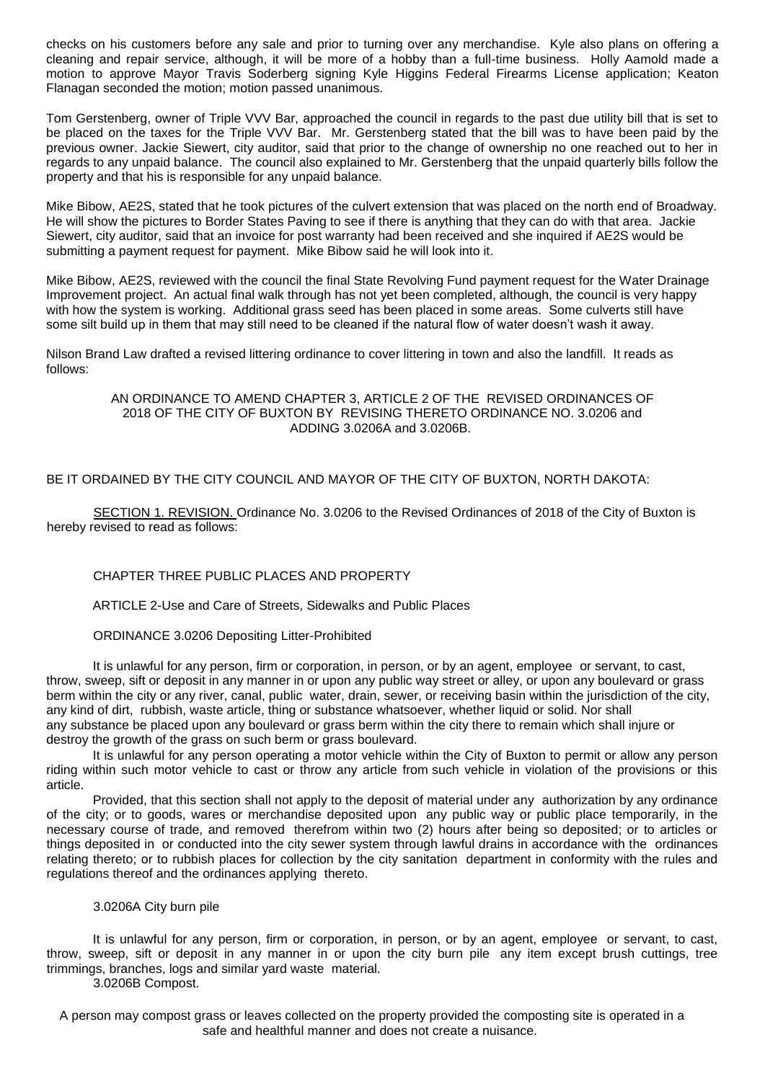checks on his customers before any sale and prior to turning over any merchandise. Kyle also plans on offering a cleaning and repair service, although, it will be more of a hobby than a full-time business. Holly Aamold made a motion to approve Mayor Travis Soderberg signing Kyle Higgins Federal Firearms License application; Keaton Flanagan seconded the motion; motion passed unanimous.

Tom Gerstenberg, owner of Triple VVV Bar, approached the council in regards to the past due utility bill that is set to be placed on the taxes for the Triple VVV Bar. Mr. Gerstenberg stated that the bill was to have been paid by the previous owner. Jackie Siewert, city auditor, said that prior to the change of ownership no one reached out to her in regards to any unpaid balance. The council also explained to Mr. Gerstenberg that the unpaid quarterly bills follow the property and that his is responsible for any unpaid balance.

Mike Bibow, AE2S, stated that he took pictures of the culvert extension that was placed on the north end of Broadway. He will show the pictures to Border States Paving to see if there is anything that they can do with that area. Jackie Siewert, city auditor, said that an invoice for post warranty had been received and she inquired if AE2S would be submitting a payment request for payment. Mike Bibow said he will look into it.

Mike Bibow, AE2S, reviewed with the council the final State Revolving Fund payment request for the Water Drainage Improvement project. An actual final walk through has not yet been completed, although, the council is very happy with how the system is working. Additional grass seed has been placed in some areas. Some culverts still have some silt build up in them that may still need to be cleaned if the natural flow of water doesn't wash it away.

Nilson Brand Law drafted a revised littering ordinance to cover littering in town and also the landfill. It reads as follows:

> AN ORDINANCE TO AMEND CHAPTER 3, ARTICLE 2 OF THE REVISED ORDINANCES OF 2018 OF THE CITY OF BUXTON BY REVISING THERETO ORDINANCE NO. 3.0206 and ADDING 3.0206A and 3.0206B.

BE IT ORDAINED BY THE CITY COUNCIL AND MAYOR OF THE CITY OF BUXTON, NORTH DAKOTA:

SECTION 1. REVISION. Ordinance No. 3.0206 to the Revised Ordinances of 2018 of the City of Buxton is hereby revised to read as follows:

# CHAPTER THREE PUBLIC PLACES AND PROPERTY

ARTICLE 2-Use and Care of Streets, Sidewalks and Public Places

# ORDINANCE 3.0206 Depositing Litter-Prohibited

It is unlawful for any person, firm or corporation, in person, or by an agent, employee or servant, to cast, throw, sweep, sift or deposit in any manner in or upon any public way street or alley, or upon any boulevard or grass berm within the city or any river, canal, public water, drain, sewer, or receiving basin within the jurisdiction of the city, any kind of dirt, rubbish, waste article, thing or substance whatsoever, whether liquid or solid. Nor shall any substance be placed upon any boulevard or grass berm within the city there to remain which shall injure or destroy the growth of the grass on such berm or grass boulevard.

It is unlawful for any person operating a motor vehicle within the City of Buxton to permit or allow any person riding within such motor vehicle to cast or throw any article from such vehicle in violation of the provisions or this article.

Provided, that this section shall not apply to the deposit of material under any authorization by any ordinance of the city; or to goods, wares or merchandise deposited upon any public way or public place temporarily, in the necessary course of trade, and removed therefrom within two (2) hours after being so deposited; or to articles or things deposited in or conducted into the city sewer system through lawful drains in accordance with the ordinances relating thereto; or to rubbish places for collection by the city sanitation department in conformity with the rules and regulations thereof and the ordinances applying thereto.

# 3.0206A City burn pile

It is unlawful for any person, firm or corporation, in person, or by an agent, employee or servant, to cast, throw, sweep, sift or deposit in any manner in or upon the city burn pile any item except brush cuttings, tree trimmings, branches, logs and similar yard waste material.

3.0206B Compost.

A person may compost grass or leaves collected on the property provided the composting site is operated in a safe and healthful manner and does not create a nuisance.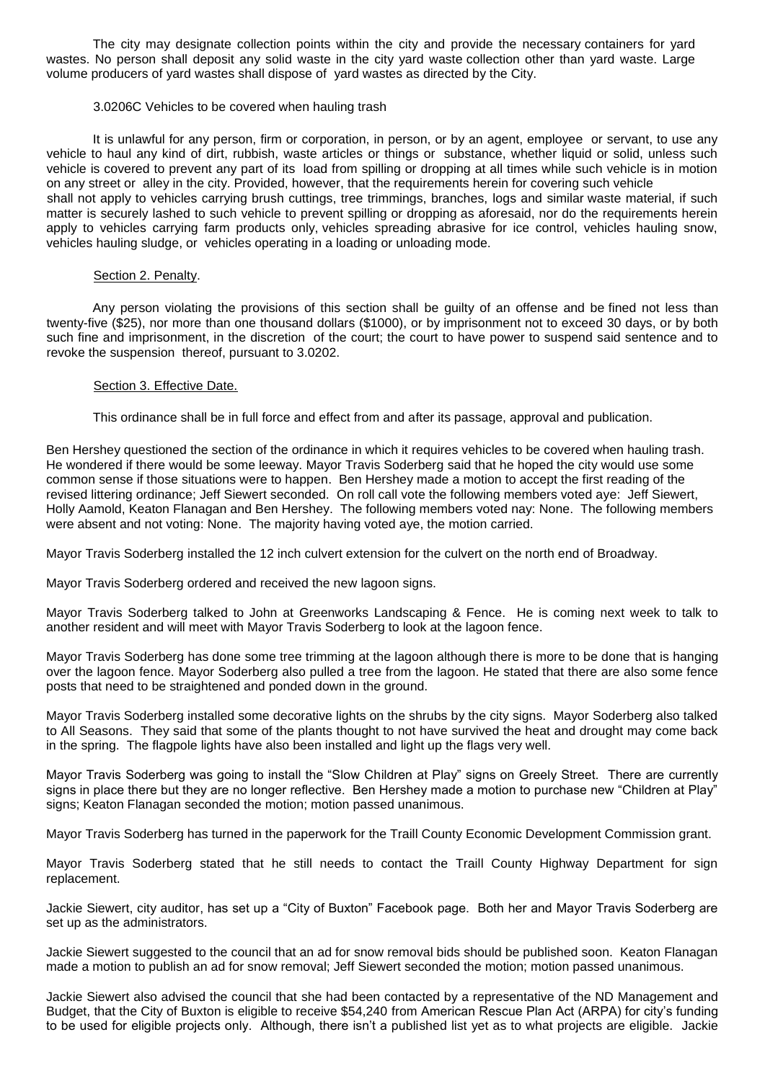The city may designate collection points within the city and provide the necessary containers for yard wastes. No person shall deposit any solid waste in the city yard waste collection other than yard waste. Large volume producers of yard wastes shall dispose of yard wastes as directed by the City.

# 3.0206C Vehicles to be covered when hauling trash

It is unlawful for any person, firm or corporation, in person, or by an agent, employee or servant, to use any vehicle to haul any kind of dirt, rubbish, waste articles or things or substance, whether liquid or solid, unless such vehicle is covered to prevent any part of its load from spilling or dropping at all times while such vehicle is in motion on any street or alley in the city. Provided, however, that the requirements herein for covering such vehicle shall not apply to vehicles carrying brush cuttings, tree trimmings, branches, logs and similar waste material, if such matter is securely lashed to such vehicle to prevent spilling or dropping as aforesaid, nor do the requirements herein apply to vehicles carrying farm products only, vehicles spreading abrasive for ice control, vehicles hauling snow, vehicles hauling sludge, or vehicles operating in a loading or unloading mode.

#### Section 2. Penalty.

Any person violating the provisions of this section shall be guilty of an offense and be fined not less than twenty-five (\$25), nor more than one thousand dollars (\$1000), or by imprisonment not to exceed 30 days, or by both such fine and imprisonment, in the discretion of the court; the court to have power to suspend said sentence and to revoke the suspension thereof, pursuant to 3.0202.

#### Section 3. Effective Date.

This ordinance shall be in full force and effect from and after its passage, approval and publication.

Ben Hershey questioned the section of the ordinance in which it requires vehicles to be covered when hauling trash. He wondered if there would be some leeway. Mayor Travis Soderberg said that he hoped the city would use some common sense if those situations were to happen. Ben Hershey made a motion to accept the first reading of the revised littering ordinance; Jeff Siewert seconded. On roll call vote the following members voted aye: Jeff Siewert, Holly Aamold, Keaton Flanagan and Ben Hershey. The following members voted nay: None. The following members were absent and not voting: None. The majority having voted aye, the motion carried.

Mayor Travis Soderberg installed the 12 inch culvert extension for the culvert on the north end of Broadway.

Mayor Travis Soderberg ordered and received the new lagoon signs.

Mayor Travis Soderberg talked to John at Greenworks Landscaping & Fence. He is coming next week to talk to another resident and will meet with Mayor Travis Soderberg to look at the lagoon fence.

Mayor Travis Soderberg has done some tree trimming at the lagoon although there is more to be done that is hanging over the lagoon fence. Mayor Soderberg also pulled a tree from the lagoon. He stated that there are also some fence posts that need to be straightened and ponded down in the ground.

Mayor Travis Soderberg installed some decorative lights on the shrubs by the city signs. Mayor Soderberg also talked to All Seasons. They said that some of the plants thought to not have survived the heat and drought may come back in the spring. The flagpole lights have also been installed and light up the flags very well.

Mayor Travis Soderberg was going to install the "Slow Children at Play" signs on Greely Street. There are currently signs in place there but they are no longer reflective. Ben Hershey made a motion to purchase new "Children at Play" signs; Keaton Flanagan seconded the motion; motion passed unanimous.

Mayor Travis Soderberg has turned in the paperwork for the Traill County Economic Development Commission grant.

Mayor Travis Soderberg stated that he still needs to contact the Traill County Highway Department for sign replacement.

Jackie Siewert, city auditor, has set up a "City of Buxton" Facebook page. Both her and Mayor Travis Soderberg are set up as the administrators.

Jackie Siewert suggested to the council that an ad for snow removal bids should be published soon. Keaton Flanagan made a motion to publish an ad for snow removal; Jeff Siewert seconded the motion; motion passed unanimous.

Jackie Siewert also advised the council that she had been contacted by a representative of the ND Management and Budget, that the City of Buxton is eligible to receive \$54,240 from American Rescue Plan Act (ARPA) for city's funding to be used for eligible projects only. Although, there isn't a published list yet as to what projects are eligible. Jackie